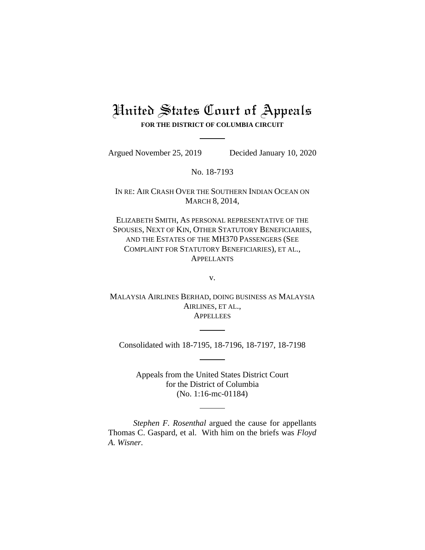## United States Court of Appeals **FOR THE DISTRICT OF COLUMBIA CIRCUIT**

Argued November 25, 2019 Decided January 10, 2020

No. 18-7193

IN RE: AIR CRASH OVER THE SOUTHERN INDIAN OCEAN ON MARCH 8, 2014,

ELIZABETH SMITH, AS PERSONAL REPRESENTATIVE OF THE SPOUSES, NEXT OF KIN, OTHER STATUTORY BENEFICIARIES, AND THE ESTATES OF THE MH370 PASSENGERS (SEE COMPLAINT FOR STATUTORY BENEFICIARIES), ET AL., APPELLANTS

v.

MALAYSIA AIRLINES BERHAD, DOING BUSINESS AS MALAYSIA AIRLINES, ET AL., **APPELLEES** 

Consolidated with 18-7195, 18-7196, 18-7197, 18-7198

Appeals from the United States District Court for the District of Columbia (No. 1:16-mc-01184)

*Stephen F. Rosenthal* argued the cause for appellants Thomas C. Gaspard, et al. With him on the briefs was *Floyd A. Wisner.*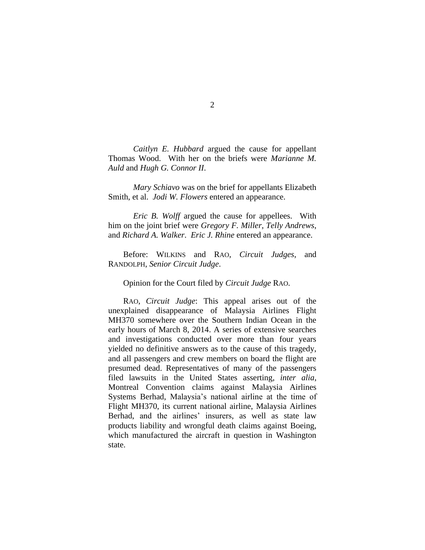*Caitlyn E. Hubbard* argued the cause for appellant Thomas Wood. With her on the briefs were *Marianne M. Auld* and *Hugh G. Connor II*.

*Mary Schiavo* was on the brief for appellants Elizabeth Smith, et al. *Jodi W. Flowers* entered an appearance.

*Eric B. Wolff* argued the cause for appellees. With him on the joint brief were *Gregory F. Miller*, *Telly Andrews*, and *Richard A. Walker*. *Eric J. Rhine* entered an appearance.

Before: WILKINS and RAO, *Circuit Judges*, and RANDOLPH, *Senior Circuit Judge*.

Opinion for the Court filed by *Circuit Judge* RAO.

RAO, *Circuit Judge*: This appeal arises out of the unexplained disappearance of Malaysia Airlines Flight MH370 somewhere over the Southern Indian Ocean in the early hours of March 8, 2014. A series of extensive searches and investigations conducted over more than four years yielded no definitive answers as to the cause of this tragedy, and all passengers and crew members on board the flight are presumed dead. Representatives of many of the passengers filed lawsuits in the United States asserting, *inter alia*, Montreal Convention claims against Malaysia Airlines Systems Berhad, Malaysia's national airline at the time of Flight MH370, its current national airline, Malaysia Airlines Berhad, and the airlines' insurers, as well as state law products liability and wrongful death claims against Boeing, which manufactured the aircraft in question in Washington state.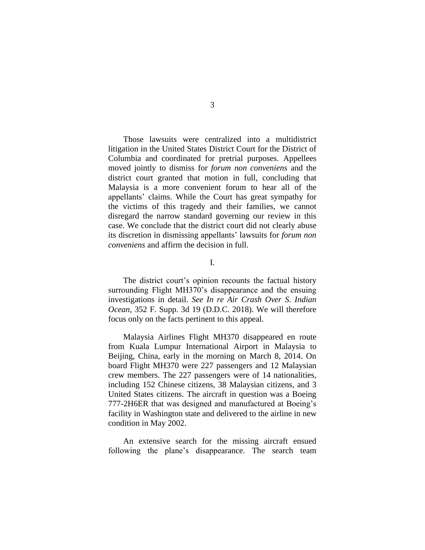Those lawsuits were centralized into a multidistrict litigation in the United States District Court for the District of Columbia and coordinated for pretrial purposes. Appellees moved jointly to dismiss for *forum non conveniens* and the district court granted that motion in full, concluding that Malaysia is a more convenient forum to hear all of the appellants' claims. While the Court has great sympathy for the victims of this tragedy and their families, we cannot disregard the narrow standard governing our review in this case. We conclude that the district court did not clearly abuse its discretion in dismissing appellants' lawsuits for *forum non conveniens* and affirm the decision in full.

I.

The district court's opinion recounts the factual history surrounding Flight MH370's disappearance and the ensuing investigations in detail. *See In re Air Crash Over S. Indian Ocean*, 352 F. Supp. 3d 19 (D.D.C. 2018). We will therefore focus only on the facts pertinent to this appeal.

Malaysia Airlines Flight MH370 disappeared en route from Kuala Lumpur International Airport in Malaysia to Beijing, China, early in the morning on March 8, 2014. On board Flight MH370 were 227 passengers and 12 Malaysian crew members. The 227 passengers were of 14 nationalities, including 152 Chinese citizens, 38 Malaysian citizens, and 3 United States citizens. The aircraft in question was a Boeing 777-2H6ER that was designed and manufactured at Boeing's facility in Washington state and delivered to the airline in new condition in May 2002.

An extensive search for the missing aircraft ensued following the plane's disappearance. The search team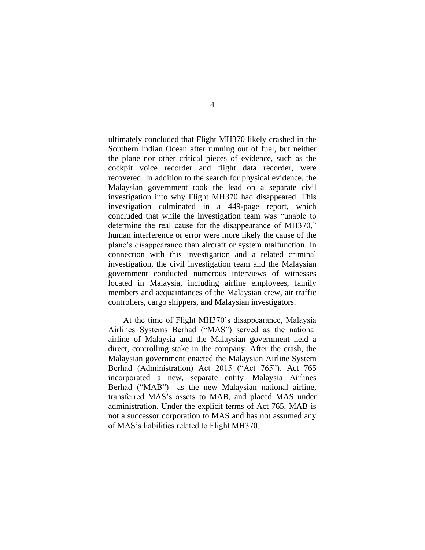ultimately concluded that Flight MH370 likely crashed in the Southern Indian Ocean after running out of fuel, but neither the plane nor other critical pieces of evidence, such as the cockpit voice recorder and flight data recorder, were recovered. In addition to the search for physical evidence, the Malaysian government took the lead on a separate civil investigation into why Flight MH370 had disappeared. This investigation culminated in a 449-page report, which concluded that while the investigation team was "unable to determine the real cause for the disappearance of MH370," human interference or error were more likely the cause of the plane's disappearance than aircraft or system malfunction. In connection with this investigation and a related criminal investigation, the civil investigation team and the Malaysian government conducted numerous interviews of witnesses located in Malaysia, including airline employees, family members and acquaintances of the Malaysian crew, air traffic controllers, cargo shippers, and Malaysian investigators.

At the time of Flight MH370's disappearance, Malaysia Airlines Systems Berhad ("MAS") served as the national airline of Malaysia and the Malaysian government held a direct, controlling stake in the company. After the crash, the Malaysian government enacted the Malaysian Airline System Berhad (Administration) Act 2015 ("Act 765"). Act 765 incorporated a new, separate entity—Malaysia Airlines Berhad ("MAB")—as the new Malaysian national airline, transferred MAS's assets to MAB, and placed MAS under administration. Under the explicit terms of Act 765, MAB is not a successor corporation to MAS and has not assumed any of MAS's liabilities related to Flight MH370.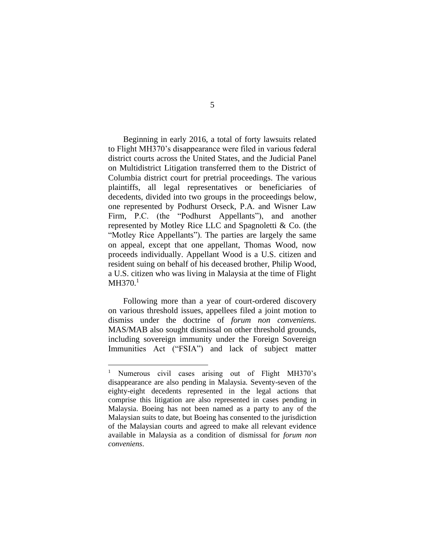Beginning in early 2016, a total of forty lawsuits related to Flight MH370's disappearance were filed in various federal district courts across the United States, and the Judicial Panel on Multidistrict Litigation transferred them to the District of Columbia district court for pretrial proceedings. The various plaintiffs, all legal representatives or beneficiaries of decedents, divided into two groups in the proceedings below, one represented by Podhurst Orseck, P.A. and Wisner Law Firm, P.C. (the "Podhurst Appellants"), and another represented by Motley Rice LLC and Spagnoletti & Co. (the "Motley Rice Appellants"). The parties are largely the same on appeal, except that one appellant, Thomas Wood, now proceeds individually. Appellant Wood is a U.S. citizen and resident suing on behalf of his deceased brother, Philip Wood, a U.S. citizen who was living in Malaysia at the time of Flight  $MH370.<sup>1</sup>$ 

Following more than a year of court-ordered discovery on various threshold issues, appellees filed a joint motion to dismiss under the doctrine of *forum non conveniens.*  MAS/MAB also sought dismissal on other threshold grounds, including sovereign immunity under the Foreign Sovereign Immunities Act ("FSIA") and lack of subject matter

<sup>&</sup>lt;sup>1</sup> Numerous civil cases arising out of Flight MH370's disappearance are also pending in Malaysia. Seventy-seven of the eighty-eight decedents represented in the legal actions that comprise this litigation are also represented in cases pending in Malaysia. Boeing has not been named as a party to any of the Malaysian suits to date, but Boeing has consented to the jurisdiction of the Malaysian courts and agreed to make all relevant evidence available in Malaysia as a condition of dismissal for *forum non conveniens*.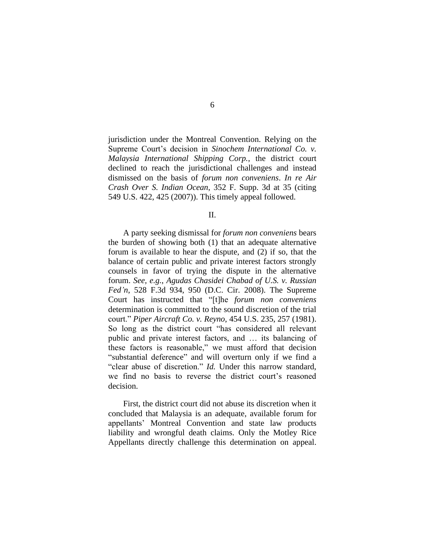jurisdiction under the Montreal Convention. Relying on the Supreme Court's decision in *Sinochem International Co. v. Malaysia International Shipping Corp.*, the district court declined to reach the jurisdictional challenges and instead dismissed on the basis of *forum non conveniens*. *In re Air Crash Over S. Indian Ocean*, 352 F. Supp. 3d at 35 (citing 549 U.S. 422, 425 (2007)). This timely appeal followed.

II.

A party seeking dismissal for *forum non conveniens* bears the burden of showing both (1) that an adequate alternative forum is available to hear the dispute, and (2) if so, that the balance of certain public and private interest factors strongly counsels in favor of trying the dispute in the alternative forum. *See, e.g.*, *Agudas Chasidei Chabad of U.S. v. Russian Fed'n*, 528 F.3d 934, 950 (D.C. Cir. 2008). The Supreme Court has instructed that "[t]he *forum non conveniens*  determination is committed to the sound discretion of the trial court." *Piper Aircraft Co. v. Reyno*, 454 U.S. 235, 257 (1981). So long as the district court "has considered all relevant public and private interest factors, and … its balancing of these factors is reasonable," we must afford that decision "substantial deference" and will overturn only if we find a "clear abuse of discretion." *Id.* Under this narrow standard, we find no basis to reverse the district court's reasoned decision.

First, the district court did not abuse its discretion when it concluded that Malaysia is an adequate, available forum for appellants' Montreal Convention and state law products liability and wrongful death claims. Only the Motley Rice Appellants directly challenge this determination on appeal.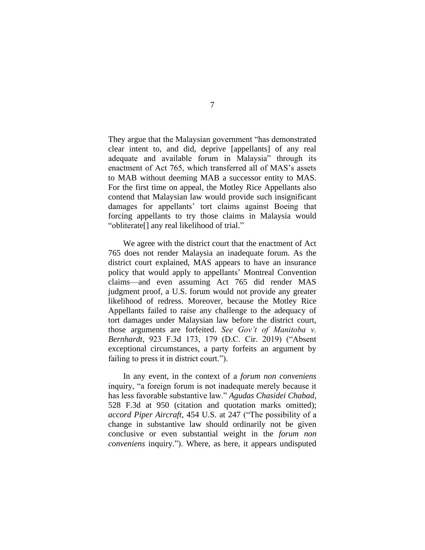They argue that the Malaysian government "has demonstrated clear intent to, and did, deprive [appellants] of any real adequate and available forum in Malaysia" through its enactment of Act 765, which transferred all of MAS's assets to MAB without deeming MAB a successor entity to MAS. For the first time on appeal, the Motley Rice Appellants also contend that Malaysian law would provide such insignificant damages for appellants' tort claims against Boeing that forcing appellants to try those claims in Malaysia would "obliterate[] any real likelihood of trial."

We agree with the district court that the enactment of Act 765 does not render Malaysia an inadequate forum. As the district court explained, MAS appears to have an insurance policy that would apply to appellants' Montreal Convention claims—and even assuming Act 765 did render MAS judgment proof, a U.S. forum would not provide any greater likelihood of redress. Moreover, because the Motley Rice Appellants failed to raise any challenge to the adequacy of tort damages under Malaysian law before the district court, those arguments are forfeited. *See Gov't of Manitoba v. Bernhardt*, 923 F.3d 173, 179 (D.C. Cir. 2019) ("Absent exceptional circumstances, a party forfeits an argument by failing to press it in district court.").

In any event, in the context of a *forum non conveniens*  inquiry, "a foreign forum is not inadequate merely because it has less favorable substantive law." *Agudas Chasidei Chabad*, 528 F.3d at 950 (citation and quotation marks omitted); *accord Piper Aircraft*, 454 U.S. at 247 ("The possibility of a change in substantive law should ordinarily not be given conclusive or even substantial weight in the *forum non conveniens* inquiry."). Where, as here, it appears undisputed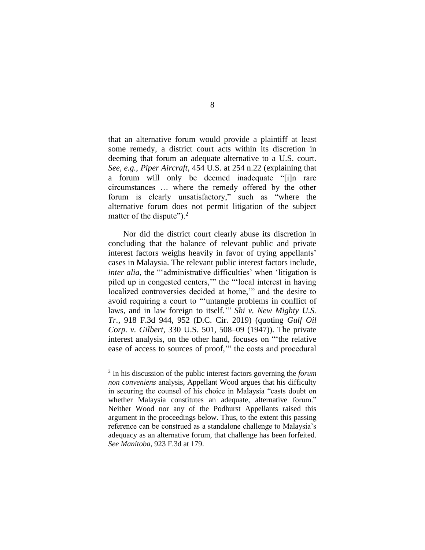that an alternative forum would provide a plaintiff at least some remedy, a district court acts within its discretion in deeming that forum an adequate alternative to a U.S. court. *See, e.g.*, *Piper Aircraft*, 454 U.S. at 254 n.22 (explaining that a forum will only be deemed inadequate "[i]n rare circumstances … where the remedy offered by the other forum is clearly unsatisfactory," such as "where the alternative forum does not permit litigation of the subject matter of the dispute" $)$ .<sup>2</sup>

Nor did the district court clearly abuse its discretion in concluding that the balance of relevant public and private interest factors weighs heavily in favor of trying appellants' cases in Malaysia. The relevant public interest factors include, *inter alia*, the "'administrative difficulties' when 'litigation is piled up in congested centers,'" the "'local interest in having localized controversies decided at home,'" and the desire to avoid requiring a court to "'untangle problems in conflict of laws, and in law foreign to itself.'" *Shi v. New Mighty U.S. Tr.*, 918 F.3d 944, 952 (D.C. Cir. 2019) (quoting *Gulf Oil Corp. v. Gilbert*, 330 U.S. 501, 508–09 (1947)). The private interest analysis, on the other hand, focuses on "'the relative ease of access to sources of proof,'" the costs and procedural

<sup>2</sup> In his discussion of the public interest factors governing the *forum non conveniens* analysis, Appellant Wood argues that his difficulty in securing the counsel of his choice in Malaysia "casts doubt on whether Malaysia constitutes an adequate, alternative forum." Neither Wood nor any of the Podhurst Appellants raised this argument in the proceedings below. Thus, to the extent this passing reference can be construed as a standalone challenge to Malaysia's adequacy as an alternative forum, that challenge has been forfeited. *See Manitoba*, 923 F.3d at 179.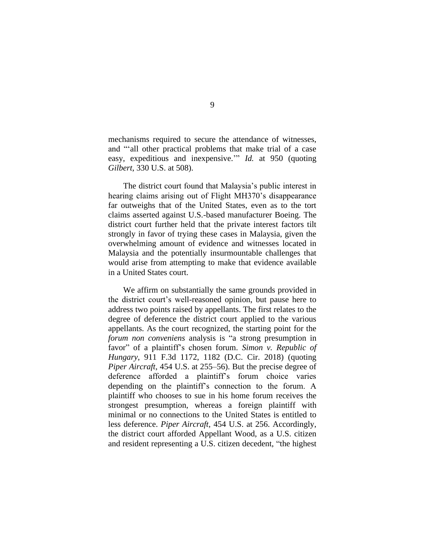mechanisms required to secure the attendance of witnesses, and "'all other practical problems that make trial of a case easy, expeditious and inexpensive.'" *Id.* at 950 (quoting *Gilbert*, 330 U.S. at 508).

The district court found that Malaysia's public interest in hearing claims arising out of Flight MH370's disappearance far outweighs that of the United States, even as to the tort claims asserted against U.S.-based manufacturer Boeing. The district court further held that the private interest factors tilt strongly in favor of trying these cases in Malaysia, given the overwhelming amount of evidence and witnesses located in Malaysia and the potentially insurmountable challenges that would arise from attempting to make that evidence available in a United States court.

We affirm on substantially the same grounds provided in the district court's well-reasoned opinion, but pause here to address two points raised by appellants. The first relates to the degree of deference the district court applied to the various appellants. As the court recognized, the starting point for the *forum non conveniens* analysis is "a strong presumption in favor" of a plaintiff's chosen forum. *Simon v. Republic of Hungary*, 911 F.3d 1172, 1182 (D.C. Cir. 2018) (quoting *Piper Aircraft*, 454 U.S. at 255–56). But the precise degree of deference afforded a plaintiff's forum choice varies depending on the plaintiff's connection to the forum. A plaintiff who chooses to sue in his home forum receives the strongest presumption, whereas a foreign plaintiff with minimal or no connections to the United States is entitled to less deference. *Piper Aircraft*, 454 U.S. at 256. Accordingly, the district court afforded Appellant Wood, as a U.S. citizen and resident representing a U.S. citizen decedent, "the highest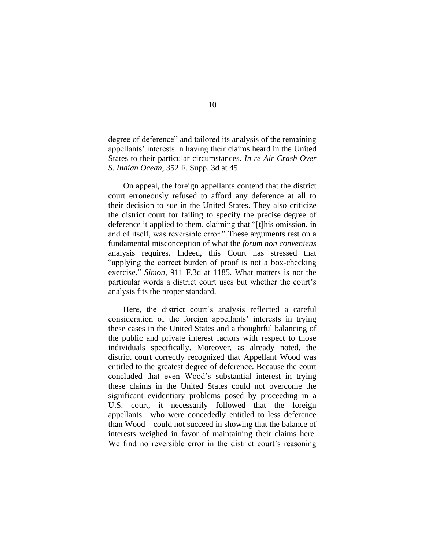degree of deference" and tailored its analysis of the remaining appellants' interests in having their claims heard in the United States to their particular circumstances. *In re Air Crash Over S. Indian Ocean*, 352 F. Supp. 3d at 45.

On appeal, the foreign appellants contend that the district court erroneously refused to afford any deference at all to their decision to sue in the United States. They also criticize the district court for failing to specify the precise degree of deference it applied to them, claiming that "[t]his omission, in and of itself, was reversible error." These arguments rest on a fundamental misconception of what the *forum non conveniens*  analysis requires. Indeed, this Court has stressed that "applying the correct burden of proof is not a box-checking exercise." *Simon*, 911 F.3d at 1185. What matters is not the particular words a district court uses but whether the court's analysis fits the proper standard.

Here, the district court's analysis reflected a careful consideration of the foreign appellants' interests in trying these cases in the United States and a thoughtful balancing of the public and private interest factors with respect to those individuals specifically. Moreover, as already noted, the district court correctly recognized that Appellant Wood was entitled to the greatest degree of deference. Because the court concluded that even Wood's substantial interest in trying these claims in the United States could not overcome the significant evidentiary problems posed by proceeding in a U.S. court, it necessarily followed that the foreign appellants—who were concededly entitled to less deference than Wood—could not succeed in showing that the balance of interests weighed in favor of maintaining their claims here. We find no reversible error in the district court's reasoning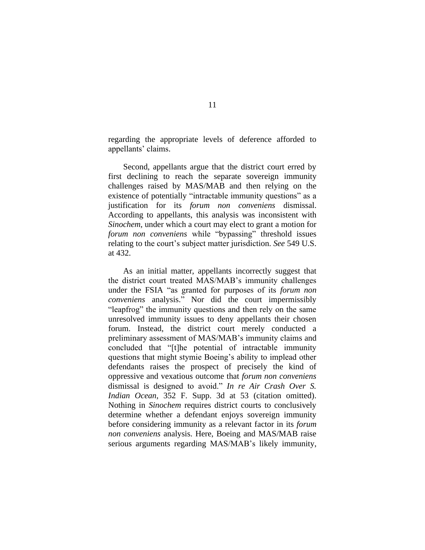regarding the appropriate levels of deference afforded to appellants' claims.

Second, appellants argue that the district court erred by first declining to reach the separate sovereign immunity challenges raised by MAS/MAB and then relying on the existence of potentially "intractable immunity questions" as a justification for its *forum non conveniens* dismissal. According to appellants, this analysis was inconsistent with *Sinochem*, under which a court may elect to grant a motion for *forum non conveniens* while "bypassing" threshold issues relating to the court's subject matter jurisdiction. *See* 549 U.S. at 432.

As an initial matter, appellants incorrectly suggest that the district court treated MAS/MAB's immunity challenges under the FSIA "as granted for purposes of its *forum non conveniens* analysis." Nor did the court impermissibly "leapfrog" the immunity questions and then rely on the same unresolved immunity issues to deny appellants their chosen forum. Instead, the district court merely conducted a preliminary assessment of MAS/MAB's immunity claims and concluded that "[t]he potential of intractable immunity questions that might stymie Boeing's ability to implead other defendants raises the prospect of precisely the kind of oppressive and vexatious outcome that *forum non conveniens* dismissal is designed to avoid." *In re Air Crash Over S. Indian Ocean*, 352 F. Supp. 3d at 53 (citation omitted). Nothing in *Sinochem* requires district courts to conclusively determine whether a defendant enjoys sovereign immunity before considering immunity as a relevant factor in its *forum non conveniens* analysis. Here, Boeing and MAS/MAB raise serious arguments regarding MAS/MAB's likely immunity,